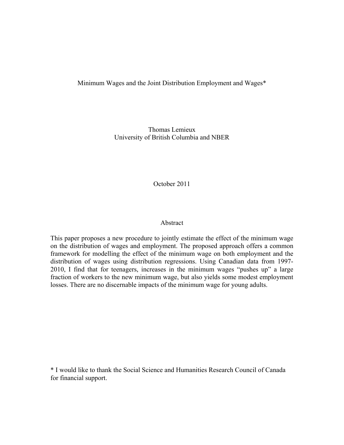## Minimum Wages and the Joint Distribution Employment and Wages\*

Thomas Lemieux University of British Columbia and NBER

October 2011

## Abstract

This paper proposes a new procedure to jointly estimate the effect of the minimum wage on the distribution of wages and employment. The proposed approach offers a common framework for modelling the effect of the minimum wage on both employment and the distribution of wages using distribution regressions. Using Canadian data from 1997- 2010, I find that for teenagers, increases in the minimum wages "pushes up" a large fraction of workers to the new minimum wage, but also yields some modest employment losses. There are no discernable impacts of the minimum wage for young adults.

\* I would like to thank the Social Science and Humanities Research Council of Canada for financial support.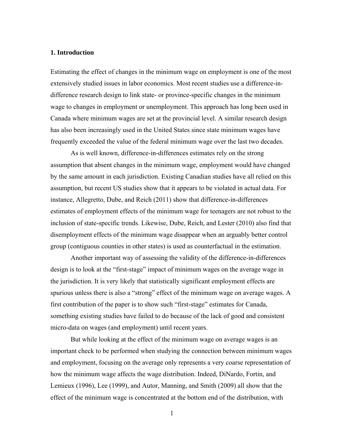## **1. Introduction**

Estimating the effect of changes in the minimum wage on employment is one of the most extensively studied issues in labor economics. Most recent studies use a difference-indifference research design to link state- or province-specific changes in the minimum wage to changes in employment or unemployment. This approach has long been used in Canada where minimum wages are set at the provincial level. A similar research design has also been increasingly used in the United States since state minimum wages have frequently exceeded the value of the federal minimum wage over the last two decades.

 As is well known, difference-in-differences estimates rely on the strong assumption that absent changes in the minimum wage, employment would have changed by the same amount in each jurisdiction. Existing Canadian studies have all relied on this assumption, but recent US studies show that it appears to be violated in actual data. For instance, Allegretto, Dube, and Reich (2011) show that difference-in-differences estimates of employment effects of the minimum wage for teenagers are not robust to the inclusion of state-specific trends. Likewise, Dube, Reich, and Lester (2010) also find that disemployment effects of the minimum wage disappear when an arguably better control group (contiguous counties in other states) is used as counterfactual in the estimation.

 Another important way of assessing the validity of the difference-in-differences design is to look at the "first-stage" impact of minimum wages on the average wage in the jurisdiction. It is very likely that statistically significant employment effects are spurious unless there is also a "strong" effect of the minimum wage on average wages. A first contribution of the paper is to show such "first-stage" estimates for Canada, something existing studies have failed to do because of the lack of good and consistent micro-data on wages (and employment) until recent years.

 But while looking at the effect of the minimum wage on average wages is an important check to be performed when studying the connection between minimum wages and employment, focusing on the average only represents a very coarse representation of how the minimum wage affects the wage distribution. Indeed, DiNardo, Fortin, and Lemieux (1996), Lee (1999), and Autor, Manning, and Smith (2009) all show that the effect of the minimum wage is concentrated at the bottom end of the distribution, with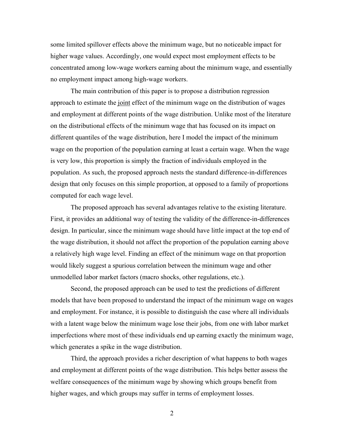some limited spillover effects above the minimum wage, but no noticeable impact for higher wage values. Accordingly, one would expect most employment effects to be concentrated among low-wage workers earning about the minimum wage, and essentially no employment impact among high-wage workers.

 The main contribution of this paper is to propose a distribution regression approach to estimate the joint effect of the minimum wage on the distribution of wages and employment at different points of the wage distribution. Unlike most of the literature on the distributional effects of the minimum wage that has focused on its impact on different quantiles of the wage distribution, here I model the impact of the minimum wage on the proportion of the population earning at least a certain wage. When the wage is very low, this proportion is simply the fraction of individuals employed in the population. As such, the proposed approach nests the standard difference-in-differences design that only focuses on this simple proportion, at opposed to a family of proportions computed for each wage level.

 The proposed approach has several advantages relative to the existing literature. First, it provides an additional way of testing the validity of the difference-in-differences design. In particular, since the minimum wage should have little impact at the top end of the wage distribution, it should not affect the proportion of the population earning above a relatively high wage level. Finding an effect of the minimum wage on that proportion would likely suggest a spurious correlation between the minimum wage and other unmodelled labor market factors (macro shocks, other regulations, etc.).

 Second, the proposed approach can be used to test the predictions of different models that have been proposed to understand the impact of the minimum wage on wages and employment. For instance, it is possible to distinguish the case where all individuals with a latent wage below the minimum wage lose their jobs, from one with labor market imperfections where most of these individuals end up earning exactly the minimum wage, which generates a spike in the wage distribution.

 Third, the approach provides a richer description of what happens to both wages and employment at different points of the wage distribution. This helps better assess the welfare consequences of the minimum wage by showing which groups benefit from higher wages, and which groups may suffer in terms of employment losses.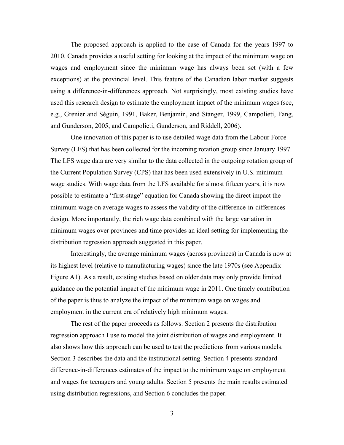The proposed approach is applied to the case of Canada for the years 1997 to 2010. Canada provides a useful setting for looking at the impact of the minimum wage on wages and employment since the minimum wage has always been set (with a few exceptions) at the provincial level. This feature of the Canadian labor market suggests using a difference-in-differences approach. Not surprisingly, most existing studies have used this research design to estimate the employment impact of the minimum wages (see, e.g., Grenier and Séguin, 1991, Baker, Benjamin, and Stanger, 1999, Campolieti, Fang, and Gunderson, 2005, and Campolieti, Gunderson, and Riddell, 2006).

 One innovation of this paper is to use detailed wage data from the Labour Force Survey (LFS) that has been collected for the incoming rotation group since January 1997. The LFS wage data are very similar to the data collected in the outgoing rotation group of the Current Population Survey (CPS) that has been used extensively in U.S. minimum wage studies. With wage data from the LFS available for almost fifteen years, it is now possible to estimate a "first-stage" equation for Canada showing the direct impact the minimum wage on average wages to assess the validity of the difference-in-differences design. More importantly, the rich wage data combined with the large variation in minimum wages over provinces and time provides an ideal setting for implementing the distribution regression approach suggested in this paper.

Interestingly, the average minimum wages (across provinces) in Canada is now at its highest level (relative to manufacturing wages) since the late 1970s (see Appendix Figure A1). As a result, existing studies based on older data may only provide limited guidance on the potential impact of the minimum wage in 2011. One timely contribution of the paper is thus to analyze the impact of the minimum wage on wages and employment in the current era of relatively high minimum wages.

 The rest of the paper proceeds as follows. Section 2 presents the distribution regression approach I use to model the joint distribution of wages and employment. It also shows how this approach can be used to test the predictions from various models. Section 3 describes the data and the institutional setting. Section 4 presents standard difference-in-differences estimates of the impact to the minimum wage on employment and wages for teenagers and young adults. Section 5 presents the main results estimated using distribution regressions, and Section 6 concludes the paper.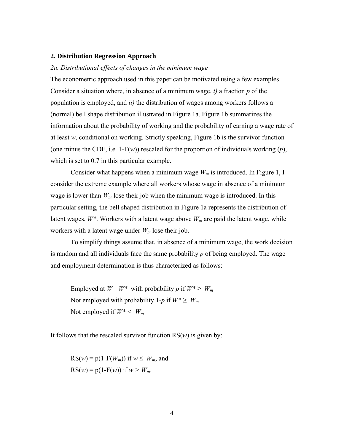#### **2. Distribution Regression Approach**

## *2a. Distributional effects of changes in the minimum wage*

The econometric approach used in this paper can be motivated using a few examples. Consider a situation where, in absence of a minimum wage, *i)* a fraction *p* of the population is employed, and *ii)* the distribution of wages among workers follows a (normal) bell shape distribution illustrated in Figure 1a. Figure 1b summarizes the information about the probability of working and the probability of earning a wage rate of at least *w*, conditional on working. Strictly speaking, Figure 1b is the survivor function (one minus the CDF, i.e. 1-F(*w*)) rescaled for the proportion of individuals working  $(p)$ , which is set to 0.7 in this particular example.

Consider what happens when a minimum wage  $W_m$  is introduced. In Figure 1, I consider the extreme example where all workers whose wage in absence of a minimum wage is lower than  $W_m$  lose their job when the minimum wage is introduced. In this particular setting, the bell shaped distribution in Figure 1a represents the distribution of latent wages,  $W^*$ . Workers with a latent wage above  $W_m$  are paid the latent wage, while workers with a latent wage under  $W_m$  lose their job.

 To simplify things assume that, in absence of a minimum wage, the work decision is random and all individuals face the same probability *p* of being employed. The wage and employment determination is thus characterized as follows:

Employed at  $W = W^*$  with probability *p* if  $W^* \geq W_m$ Not employed with probability 1-*p* if  $W^* \geq W_m$ Not employed if *W\* < Wm*

It follows that the rescaled survivor function  $RS(w)$  is given by:

 $RS(w) = p(1 - F(W_m))$  if  $w \leq W_m$ , and  $RS(w) = p(1 - F(w))$  if  $w > W_m$ .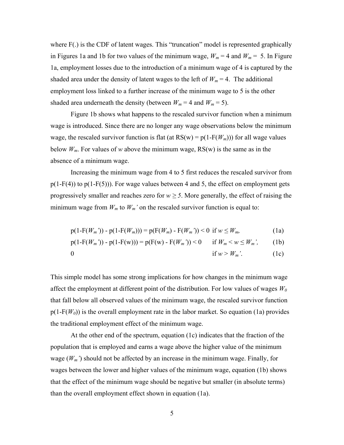where F(.) is the CDF of latent wages. This "truncation" model is represented graphically in Figures 1a and 1b for two values of the minimum wage,  $W_m = 4$  and  $W_m = 5$ . In Figure 1a, employment losses due to the introduction of a minimum wage of 4 is captured by the shaded area under the density of latent wages to the left of  $W_m = 4$ . The additional employment loss linked to a further increase of the minimum wage to 5 is the other shaded area underneath the density (between  $W_m = 4$  and  $W_m = 5$ ).

 Figure 1b shows what happens to the rescaled survivor function when a minimum wage is introduced. Since there are no longer any wage observations below the minimum wage, the rescaled survivor function is flat (at  $RS(w) = p(1 - F(W_m))$ ) for all wage values below  $W_m$ . For values of *w* above the minimum wage,  $RS(w)$  is the same as in the absence of a minimum wage.

 Increasing the minimum wage from 4 to 5 first reduces the rescaled survivor from  $p(1-F(4))$  to  $p(1-F(5))$ ). For wage values between 4 and 5, the effect on employment gets progressively smaller and reaches zero for  $w \ge 5$ . More generally, the effect of raising the minimum wage from  $W_m$  to  $W_m$ ' on the rescaled survivor function is equal to:

$$
p(1 - F(W_m')) - p(1 - F(W_m))) = p(F(W_m) - F(W_m')) < 0 \text{ if } w \le W_m,\tag{1a}
$$

$$
p(1 - F(W_m')) - p(1 - F(w))) = p(F(w) - F(W_m')) < 0 \quad \text{if } W_m < w \le W_m', \tag{1b}
$$

$$
0 \quad \text{if } w > W_m'. \tag{1c}
$$

This simple model has some strong implications for how changes in the minimum wage affect the employment at different point of the distribution. For low values of wages  $W_0$ that fall below all observed values of the minimum wage, the rescaled survivor function  $p(1-F(W_0))$  is the overall employment rate in the labor market. So equation (1a) provides the traditional employment effect of the minimum wage.

 At the other end of the spectrum, equation (1c) indicates that the fraction of the population that is employed and earns a wage above the higher value of the minimum wage  $(W_m)$  should not be affected by an increase in the minimum wage. Finally, for wages between the lower and higher values of the minimum wage, equation (1b) shows that the effect of the minimum wage should be negative but smaller (in absolute terms) than the overall employment effect shown in equation (1a).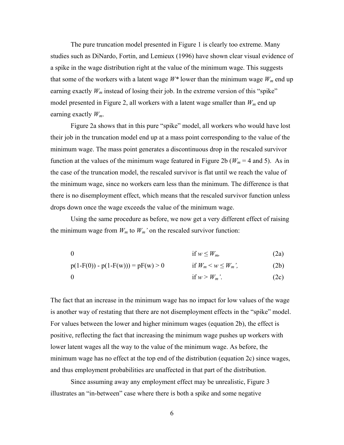The pure truncation model presented in Figure 1 is clearly too extreme. Many studies such as DiNardo, Fortin, and Lemieux (1996) have shown clear visual evidence of a spike in the wage distribution right at the value of the minimum wage. This suggests that some of the workers with a latent wage  $W^*$  lower than the minimum wage  $W_m$  end up earning exactly  $W_m$  instead of losing their job. In the extreme version of this "spike" model presented in Figure 2, all workers with a latent wage smaller than  $W_m$  end up earning exactly *Wm*.

 Figure 2a shows that in this pure "spike" model, all workers who would have lost their job in the truncation model end up at a mass point corresponding to the value of the minimum wage. The mass point generates a discontinuous drop in the rescaled survivor function at the values of the minimum wage featured in Figure 2b ( $W_m = 4$  and 5). As in the case of the truncation model, the rescaled survivor is flat until we reach the value of the minimum wage, since no workers earn less than the minimum. The difference is that there is no disemployment effect, which means that the rescaled survivor function unless drops down once the wage exceeds the value of the minimum wage.

 Using the same procedure as before, we now get a very different effect of raising the minimum wage from  $W_m$  to  $W_m$ ' on the rescaled survivor function:

0 if  $w \leq W_m$ , (2a)

 $p(1-F(0)) - p(1-F(w))) = pF(w) > 0$  if  $W_m < w \le W_m'$ , (2b)

$$
0 \qquad \qquad \text{if } w > W_m'. \tag{2c}
$$

The fact that an increase in the minimum wage has no impact for low values of the wage is another way of restating that there are not disemployment effects in the "spike" model. For values between the lower and higher minimum wages (equation 2b), the effect is positive, reflecting the fact that increasing the minimum wage pushes up workers with lower latent wages all the way to the value of the minimum wage. As before, the minimum wage has no effect at the top end of the distribution (equation 2c) since wages, and thus employment probabilities are unaffected in that part of the distribution.

 Since assuming away any employment effect may be unrealistic, Figure 3 illustrates an "in-between" case where there is both a spike and some negative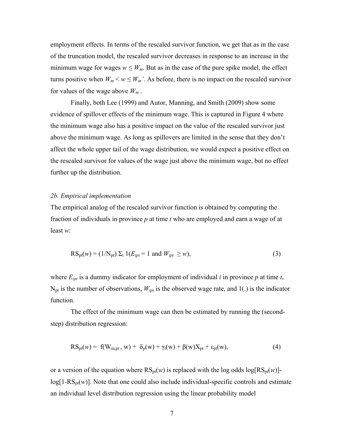employment effects. In terms of the rescaled survivor function, we get that as in the case of the truncation model, the rescaled survivor decreases in response to an increase in the minimum wage for wages  $w \leq W_m$ . But as in the case of the pure spike model, the effect turns positive when  $W_m < w \leq W_m$ . As before, there is no impact on the rescaled survivor for values of the wage above *Wm* .

 Finally, both Lee (1999) and Autor, Manning, and Smith (2009) show some evidence of spillover effects of the minimum wage. This is captured in Figure 4 where the minimum wage also has a positive impact on the value of the rescaled survivor just above the minimum wage. As long as spillovers are limited in the sense that they don't affect the whole upper tail of the wage distribution, we would expect a positive effect on the rescaled survivor for values of the wage just above the minimum wage, but no effect further up the distribution.

## *2b. Empirical implementation*

The empirical analog of the rescaled survivor function is obtained by computing the fraction of individuals in province *p* at time *t* who are employed and earn a wage of at least *w*:

$$
RS_{pt}(w) = (1/N_{pt}) \Sigma_i 1(E_{ipt} = 1 \text{ and } W_{ipt} \ge w), \tag{3}
$$

where  $E_{ipt}$  is a dummy indicator for employment of individual *i* in province  $p$  at time  $t$ ,  $N_{pt}$  is the number of observations,  $W_{ipt}$  is the observed wage rate, and 1(.) is the indicator function.

 The effect of the minimum wage can then be estimated by running the (secondstep) distribution regression:

$$
RS_{pt}(w) = f(W_{m,pt}, w) + \delta_p(w) + \gamma_t(w) + \beta(w)X_{pt} + \varepsilon_{pt}(w),
$$
\n(4)

or a version of the equation where  $RS_{pt}(w)$  is replaced with the log odds  $log[RS_{pt}(w)]$  $log[1-RS_{\text{pt}}(w)]$ . Note that one could also include individual-specific controls and estimate an individual level distribution regression using the linear probability model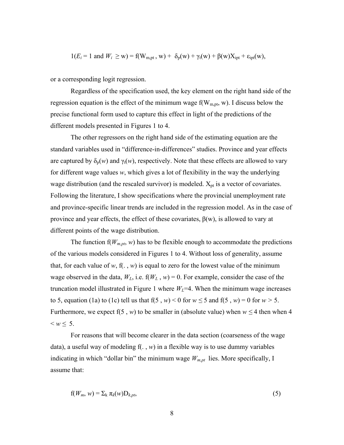$$
1(E_i = 1
$$
 and  $W_i \ge w) = f(W_{m,pt}, w) + \delta_p(w) + \gamma_t(w) + \beta(w)X_{ipt} + \varepsilon_{ipt}(w),$ 

or a corresponding logit regression.

 Regardless of the specification used, the key element on the right hand side of the regression equation is the effect of the minimum wage  $f(W_{m,pt}, w)$ . I discuss below the precise functional form used to capture this effect in light of the predictions of the different models presented in Figures 1 to 4.

 The other regressors on the right hand side of the estimating equation are the standard variables used in "difference-in-differences" studies. Province and year effects are captured by  $\delta_p(w)$  and  $\gamma_t(w)$ , respectively. Note that these effects are allowed to vary for different wage values *w*, which gives a lot of flexibility in the way the underlying wage distribution (and the rescaled survivor) is modeled.  $X_{pt}$  is a vector of covariates. Following the literature, I show specifications where the provincial unemployment rate and province-specific linear trends are included in the regression model. As in the case of province and year effects, the effect of these covariates,  $β(w)$ , is allowed to vary at different points of the wage distribution.

The function  $f(W_{m,pt}, w)$  has to be flexible enough to accommodate the predictions of the various models considered in Figures 1 to 4. Without loss of generality, assume that, for each value of  $w$ ,  $f(.)$ ,  $w$ ) is equal to zero for the lowest value of the minimum wage observed in the data,  $W_L$ , i.e.  $f(W_L, w) = 0$ . For example, consider the case of the truncation model illustrated in Figure 1 where  $W_L$ =4. When the minimum wage increases to 5, equation (1a) to (1c) tell us that  $f(5, w) < 0$  for  $w \le 5$  and  $f(5, w) = 0$  for  $w > 5$ . Furthermore, we expect f(5, *w*) to be smaller in (absolute value) when  $w \le 4$  then when 4  $\leq w \leq 5$ .

For reasons that will become clearer in the data section (coarseness of the wage data), a useful way of modeling  $f(x, w)$  in a flexible way is to use dummy variables indicating in which "dollar bin" the minimum wage  $W_{m,pt}$  lies. More specifically, I assume that:

$$
f(W_m, w) = \sum_k \pi_k(w) D_{k, pt}, \qquad (5)
$$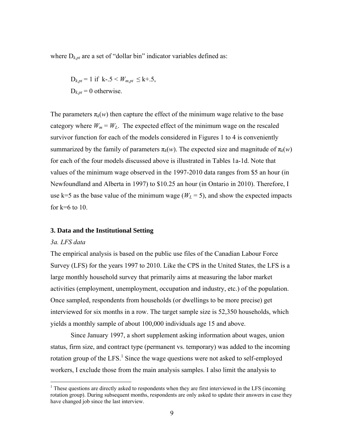where  $D_{k,pt}$  are a set of "dollar bin" indicator variables defined as:

$$
D_{k,pt} = 1 \text{ if } k-.5 < W_{m,pt} \le k+.5,
$$
\n
$$
D_{k,pt} = 0 \text{ otherwise.}
$$

The parameters  $\pi_k(w)$  then capture the effect of the minimum wage relative to the base category where  $W_m = W_L$ . The expected effect of the minimum wage on the rescaled survivor function for each of the models considered in Figures 1 to 4 is conveniently summarized by the family of parameters  $\pi_k(w)$ . The expected size and magnitude of  $\pi_k(w)$ for each of the four models discussed above is illustrated in Tables 1a-1d. Note that values of the minimum wage observed in the 1997-2010 data ranges from \$5 an hour (in Newfoundland and Alberta in 1997) to \$10.25 an hour (in Ontario in 2010). Therefore, I use k=5 as the base value of the minimum wage ( $W_L$  = 5), and show the expected impacts for  $k=6$  to 10.

#### **3. Data and the Institutional Setting**

#### *3a. LFS data*

 $\overline{a}$ 

The empirical analysis is based on the public use files of the Canadian Labour Force Survey (LFS) for the years 1997 to 2010. Like the CPS in the United States, the LFS is a large monthly household survey that primarily aims at measuring the labor market activities (employment, unemployment, occupation and industry, etc.) of the population. Once sampled, respondents from households (or dwellings to be more precise) get interviewed for six months in a row. The target sample size is 52,350 households, which yields a monthly sample of about 100,000 individuals age 15 and above.

Since January 1997, a short supplement asking information about wages, union status, firm size, and contract type (permanent vs. temporary) was added to the incoming rotation group of the LFS.<sup>1</sup> Since the wage questions were not asked to self-employed workers, I exclude those from the main analysis samples. I also limit the analysis to

<sup>&</sup>lt;sup>1</sup> These questions are directly asked to respondents when they are first interviewed in the LFS (incoming rotation group). During subsequent months, respondents are only asked to update their answers in case they have changed job since the last interview.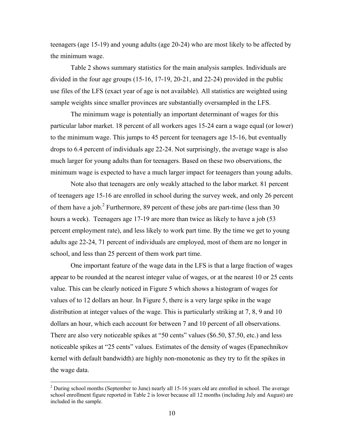teenagers (age 15-19) and young adults (age 20-24) who are most likely to be affected by the minimum wage.

Table 2 shows summary statistics for the main analysis samples. Individuals are divided in the four age groups (15-16, 17-19, 20-21, and 22-24) provided in the public use files of the LFS (exact year of age is not available). All statistics are weighted using sample weights since smaller provinces are substantially oversampled in the LFS.

The minimum wage is potentially an important determinant of wages for this particular labor market. 18 percent of all workers ages 15-24 earn a wage equal (or lower) to the minimum wage. This jumps to 45 percent for teenagers age 15-16, but eventually drops to 6.4 percent of individuals age 22-24. Not surprisingly, the average wage is also much larger for young adults than for teenagers. Based on these two observations, the minimum wage is expected to have a much larger impact for teenagers than young adults.

Note also that teenagers are only weakly attached to the labor market. 81 percent of teenagers age 15-16 are enrolled in school during the survey week, and only 26 percent of them have a job.<sup>2</sup> Furthermore, 89 percent of these jobs are part-time (less than 30 hours a week). Teenagers age 17-19 are more than twice as likely to have a job (53 percent employment rate), and less likely to work part time. By the time we get to young adults age 22-24, 71 percent of individuals are employed, most of them are no longer in school, and less than 25 percent of them work part time.

One important feature of the wage data in the LFS is that a large fraction of wages appear to be rounded at the nearest integer value of wages, or at the nearest 10 or 25 cents value. This can be clearly noticed in Figure 5 which shows a histogram of wages for values of to 12 dollars an hour. In Figure 5, there is a very large spike in the wage distribution at integer values of the wage. This is particularly striking at 7, 8, 9 and 10 dollars an hour, which each account for between 7 and 10 percent of all observations. There are also very noticeable spikes at "50 cents" values (\$6.50, \$7.50, etc.) and less noticeable spikes at "25 cents" values. Estimates of the density of wages (Epanechnikov kernel with default bandwidth) are highly non-monotonic as they try to fit the spikes in the wage data.

 $\overline{a}$ 

 $2$  During school months (September to June) nearly all 15-16 years old are enrolled in school. The average school enrollment figure reported in Table 2 is lower because all 12 months (including July and August) are included in the sample.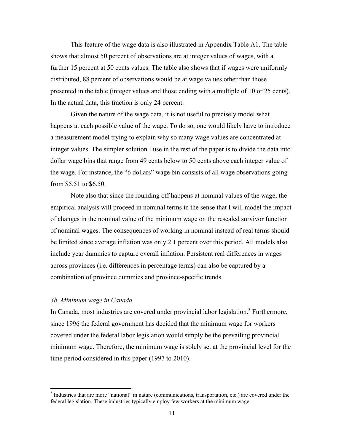This feature of the wage data is also illustrated in Appendix Table A1. The table shows that almost 50 percent of observations are at integer values of wages, with a further 15 percent at 50 cents values. The table also shows that if wages were uniformly distributed, 88 percent of observations would be at wage values other than those presented in the table (integer values and those ending with a multiple of 10 or 25 cents). In the actual data, this fraction is only 24 percent.

 Given the nature of the wage data, it is not useful to precisely model what happens at each possible value of the wage. To do so, one would likely have to introduce a measurement model trying to explain why so many wage values are concentrated at integer values. The simpler solution I use in the rest of the paper is to divide the data into dollar wage bins that range from 49 cents below to 50 cents above each integer value of the wage. For instance, the "6 dollars" wage bin consists of all wage observations going from \$5.51 to \$6.50.

Note also that since the rounding off happens at nominal values of the wage, the empirical analysis will proceed in nominal terms in the sense that I will model the impact of changes in the nominal value of the minimum wage on the rescaled survivor function of nominal wages. The consequences of working in nominal instead of real terms should be limited since average inflation was only 2.1 percent over this period. All models also include year dummies to capture overall inflation. Persistent real differences in wages across provinces (i.e. differences in percentage terms) can also be captured by a combination of province dummies and province-specific trends.

## *3b. Minimum wage in Canada*

 $\overline{a}$ 

In Canada, most industries are covered under provincial labor legislation.<sup>3</sup> Furthermore, since 1996 the federal government has decided that the minimum wage for workers covered under the federal labor legislation would simply be the prevailing provincial minimum wage. Therefore, the minimum wage is solely set at the provincial level for the time period considered in this paper (1997 to 2010).

<sup>&</sup>lt;sup>3</sup> Industries that are more "national" in nature (communications, transportation, etc.) are covered under the federal legislation. These industries typically employ few workers at the minimum wage.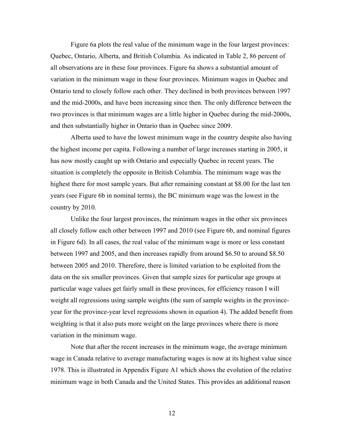Figure 6a plots the real value of the minimum wage in the four largest provinces: Quebec, Ontario, Alberta, and British Columbia. As indicated in Table 2, 86 percent of all observations are in these four provinces. Figure 6a shows a substantial amount of variation in the minimum wage in these four provinces. Minimum wages in Quebec and Ontario tend to closely follow each other. They declined in both provinces between 1997 and the mid-2000s, and have been increasing since then. The only difference between the two provinces is that minimum wages are a little higher in Quebec during the mid-2000s, and then substantially higher in Ontario than in Quebec since 2009.

Alberta used to have the lowest minimum wage in the country despite also having the highest income per capita. Following a number of large increases starting in 2005, it has now mostly caught up with Ontario and especially Quebec in recent years. The situation is completely the opposite in British Columbia. The minimum wage was the highest there for most sample years. But after remaining constant at \$8.00 for the last ten years (see Figure 6b in nominal terms), the BC minimum wage was the lowest in the country by 2010.

Unlike the four largest provinces, the minimum wages in the other six provinces all closely follow each other between 1997 and 2010 (see Figure 6b, and nominal figures in Figure 6d). In all cases, the real value of the minimum wage is more or less constant between 1997 and 2005, and then increases rapidly from around \$6.50 to around \$8.50 between 2005 and 2010. Therefore, there is limited variation to be exploited from the data on the six smaller provinces. Given that sample sizes for particular age groups at particular wage values get fairly small in these provinces, for efficiency reason I will weight all regressions using sample weights (the sum of sample weights in the provinceyear for the province-year level regressions shown in equation 4). The added benefit from weighting is that it also puts more weight on the large provinces where there is more variation in the minimum wage.

Note that after the recent increases in the minimum wage, the average minimum wage in Canada relative to average manufacturing wages is now at its highest value since 1978. This is illustrated in Appendix Figure A1 which shows the evolution of the relative minimum wage in both Canada and the United States. This provides an additional reason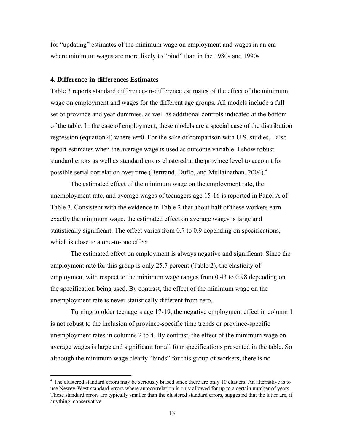for "updating" estimates of the minimum wage on employment and wages in an era where minimum wages are more likely to "bind" than in the 1980s and 1990s.

#### **4. Difference-in-differences Estimates**

 $\overline{a}$ 

Table 3 reports standard difference-in-difference estimates of the effect of the minimum wage on employment and wages for the different age groups. All models include a full set of province and year dummies, as well as additional controls indicated at the bottom of the table. In the case of employment, these models are a special case of the distribution regression (equation 4) where *w*=0. For the sake of comparison with U.S. studies, I also report estimates when the average wage is used as outcome variable. I show robust standard errors as well as standard errors clustered at the province level to account for possible serial correlation over time (Bertrand, Duflo, and Mullainathan, 2004).<sup>4</sup>

 The estimated effect of the minimum wage on the employment rate, the unemployment rate, and average wages of teenagers age 15-16 is reported in Panel A of Table 3. Consistent with the evidence in Table 2 that about half of these workers earn exactly the minimum wage, the estimated effect on average wages is large and statistically significant. The effect varies from 0.7 to 0.9 depending on specifications, which is close to a one-to-one effect.

 The estimated effect on employment is always negative and significant. Since the employment rate for this group is only 25.7 percent (Table 2), the elasticity of employment with respect to the minimum wage ranges from 0.43 to 0.98 depending on the specification being used. By contrast, the effect of the minimum wage on the unemployment rate is never statistically different from zero.

 Turning to older teenagers age 17-19, the negative employment effect in column 1 is not robust to the inclusion of province-specific time trends or province-specific unemployment rates in columns 2 to 4. By contrast, the effect of the minimum wage on average wages is large and significant for all four specifications presented in the table. So although the minimum wage clearly "binds" for this group of workers, there is no

 $4$  The clustered standard errors may be seriously biased since there are only 10 clusters. An alternative is to use Newey-West standard errors where autocorrelation is only allowed for up to a certain number of years. These standard errors are typically smaller than the clustered standard errors, suggested that the latter are, if anything, conservative.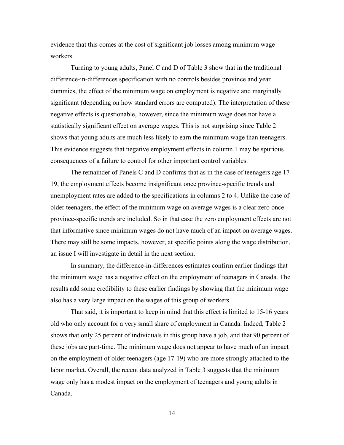evidence that this comes at the cost of significant job losses among minimum wage workers.

 Turning to young adults, Panel C and D of Table 3 show that in the traditional difference-in-differences specification with no controls besides province and year dummies, the effect of the minimum wage on employment is negative and marginally significant (depending on how standard errors are computed). The interpretation of these negative effects is questionable, however, since the minimum wage does not have a statistically significant effect on average wages. This is not surprising since Table 2 shows that young adults are much less likely to earn the minimum wage than teenagers. This evidence suggests that negative employment effects in column 1 may be spurious consequences of a failure to control for other important control variables.

 The remainder of Panels C and D confirms that as in the case of teenagers age 17- 19, the employment effects become insignificant once province-specific trends and unemployment rates are added to the specifications in columns 2 to 4. Unlike the case of older teenagers, the effect of the minimum wage on average wages is a clear zero once province-specific trends are included. So in that case the zero employment effects are not that informative since minimum wages do not have much of an impact on average wages. There may still be some impacts, however, at specific points along the wage distribution, an issue I will investigate in detail in the next section.

 In summary, the difference-in-differences estimates confirm earlier findings that the minimum wage has a negative effect on the employment of teenagers in Canada. The results add some credibility to these earlier findings by showing that the minimum wage also has a very large impact on the wages of this group of workers.

That said, it is important to keep in mind that this effect is limited to 15-16 years old who only account for a very small share of employment in Canada. Indeed, Table 2 shows that only 25 percent of individuals in this group have a job, and that 90 percent of these jobs are part-time. The minimum wage does not appear to have much of an impact on the employment of older teenagers (age 17-19) who are more strongly attached to the labor market. Overall, the recent data analyzed in Table 3 suggests that the minimum wage only has a modest impact on the employment of teenagers and young adults in Canada.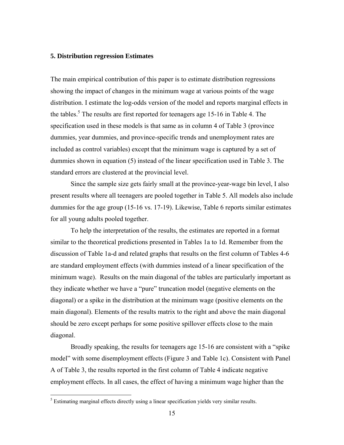## **5. Distribution regression Estimates**

The main empirical contribution of this paper is to estimate distribution regressions showing the impact of changes in the minimum wage at various points of the wage distribution. I estimate the log-odds version of the model and reports marginal effects in the tables.<sup>5</sup> The results are first reported for teenagers age 15-16 in Table 4. The specification used in these models is that same as in column 4 of Table 3 (province dummies, year dummies, and province-specific trends and unemployment rates are included as control variables) except that the minimum wage is captured by a set of dummies shown in equation (5) instead of the linear specification used in Table 3. The standard errors are clustered at the provincial level.

Since the sample size gets fairly small at the province-year-wage bin level, I also present results where all teenagers are pooled together in Table 5. All models also include dummies for the age group (15-16 vs. 17-19). Likewise, Table 6 reports similar estimates for all young adults pooled together.

To help the interpretation of the results, the estimates are reported in a format similar to the theoretical predictions presented in Tables 1a to 1d. Remember from the discussion of Table 1a-d and related graphs that results on the first column of Tables 4-6 are standard employment effects (with dummies instead of a linear specification of the minimum wage). Results on the main diagonal of the tables are particularly important as they indicate whether we have a "pure" truncation model (negative elements on the diagonal) or a spike in the distribution at the minimum wage (positive elements on the main diagonal). Elements of the results matrix to the right and above the main diagonal should be zero except perhaps for some positive spillover effects close to the main diagonal.

Broadly speaking, the results for teenagers age 15-16 are consistent with a "spike model" with some disemployment effects (Figure 3 and Table 1c). Consistent with Panel A of Table 3, the results reported in the first column of Table 4 indicate negative employment effects. In all cases, the effect of having a minimum wage higher than the

<sup>&</sup>lt;sup>5</sup> Estimating marginal effects directly using a linear specification yields very similar results.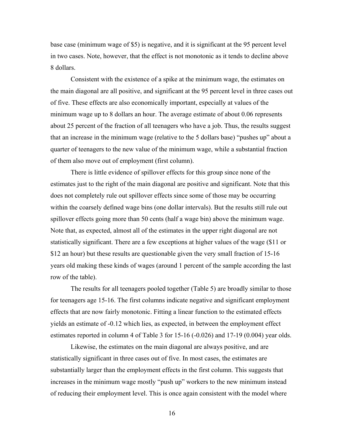base case (minimum wage of \$5) is negative, and it is significant at the 95 percent level in two cases. Note, however, that the effect is not monotonic as it tends to decline above 8 dollars.

Consistent with the existence of a spike at the minimum wage, the estimates on the main diagonal are all positive, and significant at the 95 percent level in three cases out of five. These effects are also economically important, especially at values of the minimum wage up to 8 dollars an hour. The average estimate of about 0.06 represents about 25 percent of the fraction of all teenagers who have a job. Thus, the results suggest that an increase in the minimum wage (relative to the 5 dollars base) "pushes up" about a quarter of teenagers to the new value of the minimum wage, while a substantial fraction of them also move out of employment (first column).

There is little evidence of spillover effects for this group since none of the estimates just to the right of the main diagonal are positive and significant. Note that this does not completely rule out spillover effects since some of those may be occurring within the coarsely defined wage bins (one dollar intervals). But the results still rule out spillover effects going more than 50 cents (half a wage bin) above the minimum wage. Note that, as expected, almost all of the estimates in the upper right diagonal are not statistically significant. There are a few exceptions at higher values of the wage (\$11 or \$12 an hour) but these results are questionable given the very small fraction of 15-16 years old making these kinds of wages (around 1 percent of the sample according the last row of the table).

The results for all teenagers pooled together (Table 5) are broadly similar to those for teenagers age 15-16. The first columns indicate negative and significant employment effects that are now fairly monotonic. Fitting a linear function to the estimated effects yields an estimate of -0.12 which lies, as expected, in between the employment effect estimates reported in column 4 of Table 3 for 15-16 (-0.026) and 17-19 (0.004) year olds.

Likewise, the estimates on the main diagonal are always positive, and are statistically significant in three cases out of five. In most cases, the estimates are substantially larger than the employment effects in the first column. This suggests that increases in the minimum wage mostly "push up" workers to the new minimum instead of reducing their employment level. This is once again consistent with the model where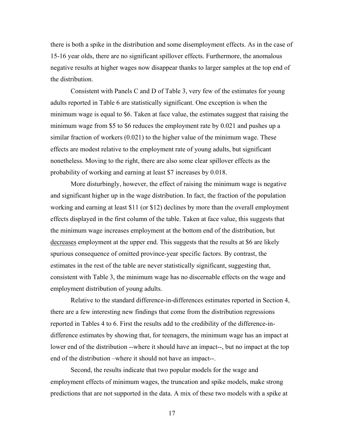there is both a spike in the distribution and some disemployment effects. As in the case of 15-16 year olds, there are no significant spillover effects. Furthermore, the anomalous negative results at higher wages now disappear thanks to larger samples at the top end of the distribution.

Consistent with Panels C and D of Table 3, very few of the estimates for young adults reported in Table 6 are statistically significant. One exception is when the minimum wage is equal to \$6. Taken at face value, the estimates suggest that raising the minimum wage from \$5 to \$6 reduces the employment rate by 0.021 and pushes up a similar fraction of workers (0.021) to the higher value of the minimum wage. These effects are modest relative to the employment rate of young adults, but significant nonetheless. Moving to the right, there are also some clear spillover effects as the probability of working and earning at least \$7 increases by 0.018.

More disturbingly, however, the effect of raising the minimum wage is negative and significant higher up in the wage distribution. In fact, the fraction of the population working and earning at least \$11 (or \$12) declines by more than the overall employment effects displayed in the first column of the table. Taken at face value, this suggests that the minimum wage increases employment at the bottom end of the distribution, but decreases employment at the upper end. This suggests that the results at \$6 are likely spurious consequence of omitted province-year specific factors. By contrast, the estimates in the rest of the table are never statistically significant, suggesting that, consistent with Table 3, the minimum wage has no discernable effects on the wage and employment distribution of young adults.

Relative to the standard difference-in-differences estimates reported in Section 4, there are a few interesting new findings that come from the distribution regressions reported in Tables 4 to 6. First the results add to the credibility of the difference-indifference estimates by showing that, for teenagers, the minimum wage has an impact at lower end of the distribution --where it should have an impact--, but no impact at the top end of the distribution –where it should not have an impact--.

Second, the results indicate that two popular models for the wage and employment effects of minimum wages, the truncation and spike models, make strong predictions that are not supported in the data. A mix of these two models with a spike at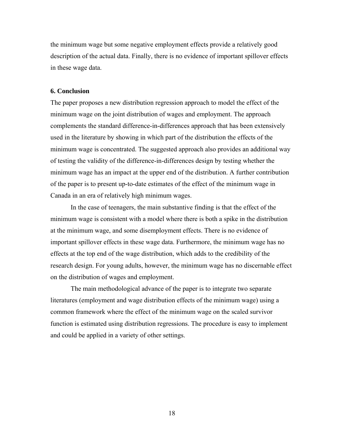the minimum wage but some negative employment effects provide a relatively good description of the actual data. Finally, there is no evidence of important spillover effects in these wage data.

### **6. Conclusion**

The paper proposes a new distribution regression approach to model the effect of the minimum wage on the joint distribution of wages and employment. The approach complements the standard difference-in-differences approach that has been extensively used in the literature by showing in which part of the distribution the effects of the minimum wage is concentrated. The suggested approach also provides an additional way of testing the validity of the difference-in-differences design by testing whether the minimum wage has an impact at the upper end of the distribution. A further contribution of the paper is to present up-to-date estimates of the effect of the minimum wage in Canada in an era of relatively high minimum wages.

In the case of teenagers, the main substantive finding is that the effect of the minimum wage is consistent with a model where there is both a spike in the distribution at the minimum wage, and some disemployment effects. There is no evidence of important spillover effects in these wage data. Furthermore, the minimum wage has no effects at the top end of the wage distribution, which adds to the credibility of the research design. For young adults, however, the minimum wage has no discernable effect on the distribution of wages and employment.

The main methodological advance of the paper is to integrate two separate literatures (employment and wage distribution effects of the minimum wage) using a common framework where the effect of the minimum wage on the scaled survivor function is estimated using distribution regressions. The procedure is easy to implement and could be applied in a variety of other settings.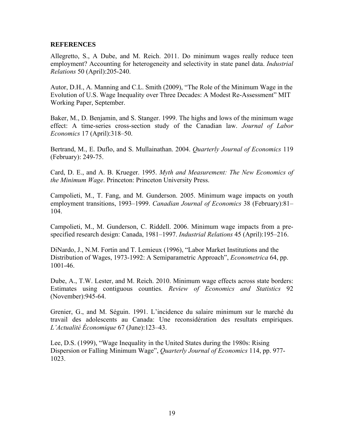## **REFERENCES**

Allegretto, S., A Dube, and M. Reich. 2011. Do minimum wages really reduce teen employment? Accounting for heterogeneity and selectivity in state panel data. *Industrial Relations* 50 (April):205-240.

Autor, D.H., A. Manning and C.L. Smith (2009), "The Role of the Minimum Wage in the Evolution of U.S. Wage Inequality over Three Decades: A Modest Re-Assessment" MIT Working Paper, September.

Baker, M., D. Benjamin, and S. Stanger. 1999. The highs and lows of the minimum wage effect: A time-series cross-section study of the Canadian law. *Journal of Labor Economics* 17 (April):318–50.

Bertrand, M., E. Duflo, and S. Mullainathan. 2004. *Quarterly Journal of Economics* 119 (February): 249-75.

Card, D. E., and A. B. Krueger. 1995. *Myth and Measurement: The New Economics of the Minimum Wage*. Princeton: Princeton University Press.

Campolieti, M., T. Fang, and M. Gunderson. 2005. Minimum wage impacts on youth employment transitions, 1993–1999. *Canadian Journal of Economics* 38 (February):81– 104.

Campolieti, M., M. Gunderson, C. Riddell. 2006. Minimum wage impacts from a prespecified research design: Canada, 1981–1997. *Industrial Relations* 45 (April):195–216.

DiNardo, J., N.M. Fortin and T. Lemieux (1996), "Labor Market Institutions and the Distribution of Wages, 1973-1992: A Semiparametric Approach", *Econometrica* 64, pp. 1001-46.

Dube, A., T.W. Lester, and M. Reich. 2010. Minimum wage effects across state borders: Estimates using contiguous counties. *Review of Economics and Statistics* 92 (November):945-64.

Grenier, G., and M. Séguin. 1991. L'incidence du salaire minimum sur le marché du travail des adolescents au Canada: Une reconsidération des resultats empiriques. *L'Actualité Économique* 67 (June):123–43.

Lee, D.S. (1999), "Wage Inequality in the United States during the 1980s: Rising Dispersion or Falling Minimum Wage", *Quarterly Journal of Economics* 114, pp. 977- 1023.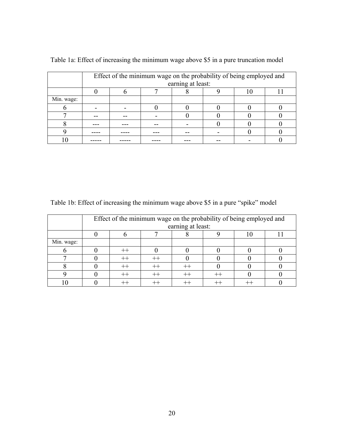|            |                   | Effect of the minimum wage on the probability of being employed and |  |  |  |  |  |  |  |  |  |  |  |  |  |
|------------|-------------------|---------------------------------------------------------------------|--|--|--|--|--|--|--|--|--|--|--|--|--|
|            | earning at least: |                                                                     |  |  |  |  |  |  |  |  |  |  |  |  |  |
|            |                   |                                                                     |  |  |  |  |  |  |  |  |  |  |  |  |  |
| Min. wage: |                   |                                                                     |  |  |  |  |  |  |  |  |  |  |  |  |  |
|            |                   |                                                                     |  |  |  |  |  |  |  |  |  |  |  |  |  |
|            |                   |                                                                     |  |  |  |  |  |  |  |  |  |  |  |  |  |
|            |                   |                                                                     |  |  |  |  |  |  |  |  |  |  |  |  |  |
|            |                   |                                                                     |  |  |  |  |  |  |  |  |  |  |  |  |  |
|            |                   |                                                                     |  |  |  |  |  |  |  |  |  |  |  |  |  |

Table 1a: Effect of increasing the minimum wage above \$5 in a pure truncation model

Table 1b: Effect of increasing the minimum wage above \$5 in a pure "spike" model

|            |                   | Effect of the minimum wage on the probability of being employed and |  |  |  |  |  |  |  |  |  |  |  |  |  |
|------------|-------------------|---------------------------------------------------------------------|--|--|--|--|--|--|--|--|--|--|--|--|--|
|            | earning at least: |                                                                     |  |  |  |  |  |  |  |  |  |  |  |  |  |
|            |                   |                                                                     |  |  |  |  |  |  |  |  |  |  |  |  |  |
| Min. wage: |                   |                                                                     |  |  |  |  |  |  |  |  |  |  |  |  |  |
|            |                   |                                                                     |  |  |  |  |  |  |  |  |  |  |  |  |  |
|            |                   |                                                                     |  |  |  |  |  |  |  |  |  |  |  |  |  |
|            |                   |                                                                     |  |  |  |  |  |  |  |  |  |  |  |  |  |
|            |                   |                                                                     |  |  |  |  |  |  |  |  |  |  |  |  |  |
|            |                   |                                                                     |  |  |  |  |  |  |  |  |  |  |  |  |  |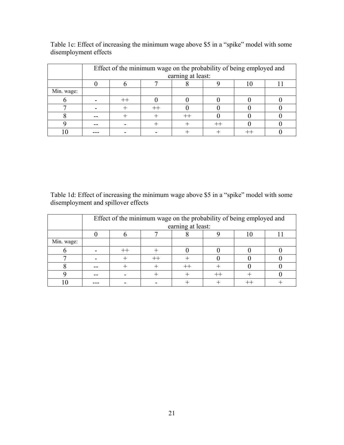|            | Effect of the minimum wage on the probability of being employed and |  |  |  |  |  |  |  |  |  |  |  |  |  |
|------------|---------------------------------------------------------------------|--|--|--|--|--|--|--|--|--|--|--|--|--|
|            | earning at least:                                                   |  |  |  |  |  |  |  |  |  |  |  |  |  |
|            |                                                                     |  |  |  |  |  |  |  |  |  |  |  |  |  |
| Min. wage: |                                                                     |  |  |  |  |  |  |  |  |  |  |  |  |  |
|            |                                                                     |  |  |  |  |  |  |  |  |  |  |  |  |  |
|            |                                                                     |  |  |  |  |  |  |  |  |  |  |  |  |  |
|            |                                                                     |  |  |  |  |  |  |  |  |  |  |  |  |  |
|            |                                                                     |  |  |  |  |  |  |  |  |  |  |  |  |  |
|            |                                                                     |  |  |  |  |  |  |  |  |  |  |  |  |  |

Table 1c: Effect of increasing the minimum wage above \$5 in a "spike" model with some disemployment effects

Table 1d: Effect of increasing the minimum wage above \$5 in a "spike" model with some disemployment and spillover effects

|            | Effect of the minimum wage on the probability of being employed and |  |  |  |  |  |  |  |  |  |  |  |  |  |
|------------|---------------------------------------------------------------------|--|--|--|--|--|--|--|--|--|--|--|--|--|
|            | earning at least:                                                   |  |  |  |  |  |  |  |  |  |  |  |  |  |
|            |                                                                     |  |  |  |  |  |  |  |  |  |  |  |  |  |
| Min. wage: |                                                                     |  |  |  |  |  |  |  |  |  |  |  |  |  |
|            |                                                                     |  |  |  |  |  |  |  |  |  |  |  |  |  |
|            |                                                                     |  |  |  |  |  |  |  |  |  |  |  |  |  |
|            |                                                                     |  |  |  |  |  |  |  |  |  |  |  |  |  |
|            |                                                                     |  |  |  |  |  |  |  |  |  |  |  |  |  |
|            |                                                                     |  |  |  |  |  |  |  |  |  |  |  |  |  |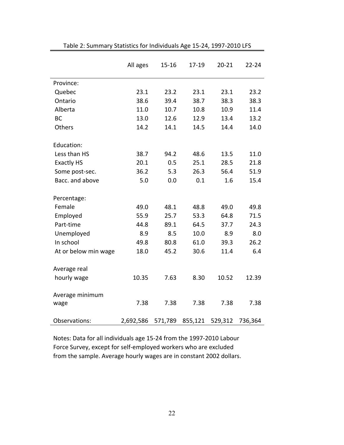|                      | All ages  | $15 - 16$ | 17-19   | $20 - 21$ | $22 - 24$ |
|----------------------|-----------|-----------|---------|-----------|-----------|
| Province:            |           |           |         |           |           |
| Quebec               | 23.1      | 23.2      | 23.1    | 23.1      | 23.2      |
| Ontario              | 38.6      | 39.4      | 38.7    | 38.3      | 38.3      |
| Alberta              | 11.0      | 10.7      | 10.8    | 10.9      | 11.4      |
| <b>BC</b>            | 13.0      | 12.6      | 12.9    | 13.4      | 13.2      |
| Others               | 14.2      | 14.1      | 14.5    | 14.4      | 14.0      |
| Education:           |           |           |         |           |           |
| Less than HS         | 38.7      | 94.2      | 48.6    | 13.5      | 11.0      |
| <b>Exactly HS</b>    | 20.1      | 0.5       | 25.1    | 28.5      | 21.8      |
| Some post-sec.       | 36.2      | 5.3       | 26.3    | 56.4      | 51.9      |
| Bacc. and above      | 5.0       | 0.0       | 0.1     | 1.6       | 15.4      |
| Percentage:          |           |           |         |           |           |
| Female               | 49.0      | 48.1      | 48.8    | 49.0      | 49.8      |
| Employed             | 55.9      | 25.7      | 53.3    | 64.8      | 71.5      |
| Part-time            | 44.8      | 89.1      | 64.5    | 37.7      | 24.3      |
| Unemployed           | 8.9       | 8.5       | 10.0    | 8.9       | 8.0       |
| In school            | 49.8      | 80.8      | 61.0    | 39.3      | 26.2      |
| At or below min wage | 18.0      | 45.2      | 30.6    | 11.4      | 6.4       |
| Average real         |           |           |         |           |           |
| hourly wage          | 10.35     | 7.63      | 8.30    | 10.52     | 12.39     |
| Average minimum      |           |           |         |           |           |
| wage                 | 7.38      | 7.38      | 7.38    | 7.38      | 7.38      |
| Observations:        | 2,692,586 | 571,789   | 855,121 | 529,312   | 736,364   |

Table 2: Summary Statistics for Individuals Age 15‐24, 1997‐2010 LFS

Notes: Data for all individuals age 15‐24 from the 1997‐2010 Labour Force Survey, except for self‐employed workers who are excluded from the sample. Average hourly wages are in constant 2002 dollars.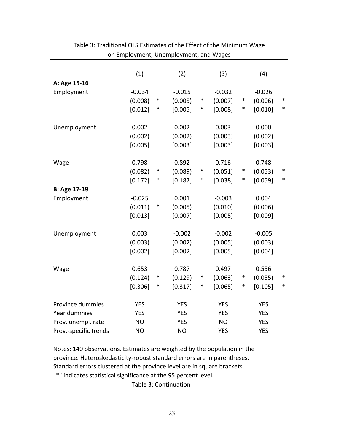|                       | (1)        |        | (2)        |        | (3)        |        | (4)        |        |
|-----------------------|------------|--------|------------|--------|------------|--------|------------|--------|
| A: Age 15-16          |            |        |            |        |            |        |            |        |
| Employment            | $-0.034$   |        | $-0.015$   |        | $-0.032$   |        | $-0.026$   |        |
|                       | (0.008)    | $\ast$ | (0.005)    | $\ast$ | (0.007)    | $\ast$ | (0.006)    | ∗      |
|                       | [0.012]    | ∗      | [0.005]    | ∗      | [0.008]    | $\ast$ | [0.010]    | $\ast$ |
|                       |            |        |            |        |            |        |            |        |
| Unemployment          | 0.002      |        | 0.002      |        | 0.003      |        | 0.000      |        |
|                       | (0.002)    |        | (0.002)    |        | (0.003)    |        | (0.002)    |        |
|                       | [0.005]    |        | [0.003]    |        | [0.003]    |        | [0.003]    |        |
|                       |            |        |            |        |            |        |            |        |
| Wage                  | 0.798      |        | 0.892      |        | 0.716      |        | 0.748      |        |
|                       | (0.082)    | $\ast$ | (0.089)    | $\ast$ | (0.051)    | $\ast$ | (0.053)    | ∗      |
|                       | [0.172]    | $\ast$ | [0.187]    | $\ast$ | [0.038]    | $\ast$ | [0.059]    | ∗      |
| B: Age 17-19          |            |        |            |        |            |        |            |        |
| Employment            | $-0.025$   |        | 0.001      |        | $-0.003$   |        | 0.004      |        |
|                       | (0.011)    | $\ast$ | (0.005)    |        | (0.010)    |        | (0.006)    |        |
|                       | [0.013]    |        | [0.007]    |        | [0.005]    |        | [0.009]    |        |
|                       |            |        |            |        |            |        |            |        |
| Unemployment          | 0.003      |        | $-0.002$   |        | $-0.002$   |        | $-0.005$   |        |
|                       | (0.003)    |        | (0.002)    |        | (0.005)    |        | (0.003)    |        |
|                       | [0.002]    |        | [0.002]    |        | [0.005]    |        | [0.004]    |        |
|                       |            |        |            |        |            |        |            |        |
| Wage                  | 0.653      |        | 0.787      |        | 0.497      |        | 0.556      |        |
|                       | (0.124)    | $\ast$ | (0.129)    | $\ast$ | (0.063)    | $\ast$ | (0.055)    | $\ast$ |
|                       | [0.306]    | $\ast$ | [0.317]    | $\ast$ | [0.065]    | $\ast$ | [0.105]    | ∗      |
|                       |            |        |            |        |            |        |            |        |
| Province dummies      | <b>YES</b> |        | <b>YES</b> |        | <b>YES</b> |        | <b>YES</b> |        |
| Year dummies          | <b>YES</b> |        | <b>YES</b> |        | <b>YES</b> |        | <b>YES</b> |        |
| Prov. unempl. rate    | <b>NO</b>  |        | <b>YES</b> |        | <b>NO</b>  |        | <b>YES</b> |        |
| Prov.-specific trends | <b>NO</b>  |        | <b>NO</b>  |        | <b>YES</b> |        | <b>YES</b> |        |

# Table 3: Traditional OLS Estimates of the Effect of the Minimum Wage on Employment, Unemployment, and Wages

Notes: 140 observations. Estimates are weighted by the population in the province. Heteroskedasticity‐robust standard errors are in parentheses. Standard errors clustered at the province level are in square brackets. "\*" indicates statistical significance at the 95 percent level.

Table 3: Continuation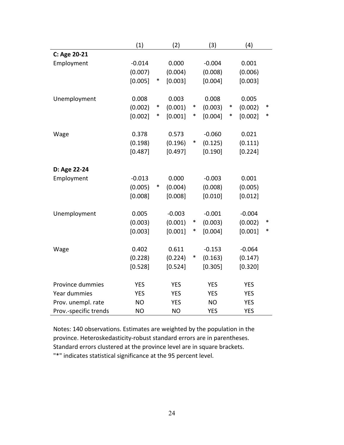|                       | (1)        |        | (2)        |        | (3)        |        | (4)        |        |
|-----------------------|------------|--------|------------|--------|------------|--------|------------|--------|
| C: Age 20-21          |            |        |            |        |            |        |            |        |
| Employment            | $-0.014$   |        | 0.000      |        | $-0.004$   |        | 0.001      |        |
|                       | (0.007)    |        | (0.004)    |        | (0.008)    |        | (0.006)    |        |
|                       | [0.005]    | $\ast$ | [0.003]    |        | [0.004]    |        | [0.003]    |        |
| Unemployment          | 0.008      |        | 0.003      |        | 0.008      |        | 0.005      |        |
|                       | (0.002)    | $\ast$ | (0.001)    | $\ast$ | (0.003)    | $\ast$ | (0.002)    | $\ast$ |
|                       | [0.002]    | $\ast$ | [0.001]    | $\ast$ | [0.004]    | ∗      | [0.002]    | $\ast$ |
| Wage                  | 0.378      |        | 0.573      |        | $-0.060$   |        | 0.021      |        |
|                       | (0.198)    |        | (0.196)    | $\ast$ | (0.125)    |        | (0.111)    |        |
|                       | [0.487]    |        | [0.497]    |        | [0.190]    |        | [0.224]    |        |
|                       |            |        |            |        |            |        |            |        |
| D: Age 22-24          |            |        |            |        |            |        |            |        |
| Employment            | $-0.013$   |        | 0.000      |        | $-0.003$   |        | 0.001      |        |
|                       | (0.005)    | $\ast$ | (0.004)    |        | (0.008)    |        | (0.005)    |        |
|                       | [0.008]    |        | [0.008]    |        | [0.010]    |        | [0.012]    |        |
| Unemployment          | 0.005      |        | $-0.003$   |        | $-0.001$   |        | $-0.004$   |        |
|                       | (0.003)    |        | (0.001)    | $\ast$ | (0.003)    |        | (0.002)    | ∗      |
|                       | [0.003]    |        | [0.001]    | $\ast$ | [0.004]    |        | [0.001]    | ∗      |
| Wage                  | 0.402      |        | 0.611      |        | $-0.153$   |        | $-0.064$   |        |
|                       | (0.228)    |        | (0.224)    | $\ast$ | (0.163)    |        | (0.147)    |        |
|                       | [0.528]    |        | [0.524]    |        | [0.305]    |        | [0.320]    |        |
|                       |            |        |            |        |            |        |            |        |
| Province dummies      | <b>YES</b> |        | <b>YES</b> |        | <b>YES</b> |        | <b>YES</b> |        |
| Year dummies          | <b>YES</b> |        | <b>YES</b> |        | <b>YES</b> |        | <b>YES</b> |        |
| Prov. unempl. rate    | <b>NO</b>  |        | <b>YES</b> |        | <b>NO</b>  |        | <b>YES</b> |        |
| Prov.-specific trends | <b>NO</b>  |        | <b>NO</b>  |        | <b>YES</b> |        | <b>YES</b> |        |

Notes: 140 observations. Estimates are weighted by the population in the province. Heteroskedasticity‐robust standard errors are in parentheses. Standard errors clustered at the province level are in square brackets. "\*" indicates statistical significance at the 95 percent level.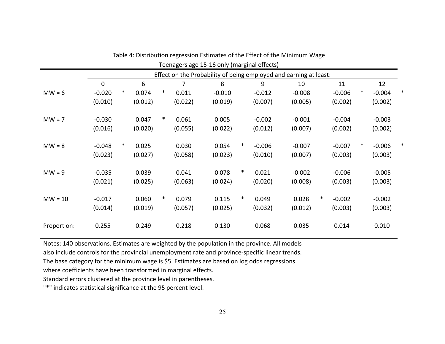|             |          |        |         |        |         | Teenagers age 15-16 only (marginal effects)                       |        |          |          |        |          |        |          |   |
|-------------|----------|--------|---------|--------|---------|-------------------------------------------------------------------|--------|----------|----------|--------|----------|--------|----------|---|
|             |          |        |         |        |         | Effect on the Probability of being employed and earning at least: |        |          |          |        |          |        |          |   |
|             | 0        |        | 6       |        | 7       | 8                                                                 |        | 9        | 10       |        | 11       |        | 12       |   |
| $MW = 6$    | $-0.020$ | $\ast$ | 0.074   | $\ast$ | 0.011   | $-0.010$                                                          |        | $-0.012$ | $-0.008$ |        | $-0.006$ | $\ast$ | $-0.004$ | ∗ |
|             | (0.010)  |        | (0.012) |        | (0.022) | (0.019)                                                           |        | (0.007)  | (0.005)  |        | (0.002)  |        | (0.002)  |   |
| $MW = 7$    | $-0.030$ |        | 0.047   | $\ast$ | 0.061   | 0.005                                                             |        | $-0.002$ | $-0.001$ |        | $-0.004$ |        | $-0.003$ |   |
|             | (0.016)  |        | (0.020) |        | (0.055) | (0.022)                                                           |        | (0.012)  | (0.007)  |        | (0.002)  |        | (0.002)  |   |
| $MW = 8$    | $-0.048$ | ∗      | 0.025   |        | 0.030   | 0.054                                                             | $\ast$ | $-0.006$ | $-0.007$ |        | $-0.007$ | $\ast$ | $-0.006$ |   |
|             | (0.023)  |        | (0.027) |        | (0.058) | (0.023)                                                           |        | (0.010)  | (0.007)  |        | (0.003)  |        | (0.003)  |   |
| $MW = 9$    | $-0.035$ |        | 0.039   |        | 0.041   | 0.078                                                             | $\ast$ | 0.021    | $-0.002$ |        | $-0.006$ |        | $-0.005$ |   |
|             | (0.021)  |        | (0.025) |        | (0.063) | (0.024)                                                           |        | (0.020)  | (0.008)  |        | (0.003)  |        | (0.003)  |   |
| $MW = 10$   | $-0.017$ |        | 0.060   | $\ast$ | 0.079   | 0.115                                                             | $\ast$ | 0.049    | 0.028    | $\ast$ | $-0.002$ |        | $-0.002$ |   |
|             | (0.014)  |        | (0.019) |        | (0.057) | (0.025)                                                           |        | (0.032)  | (0.012)  |        | (0.003)  |        | (0.003)  |   |
| Proportion: | 0.255    |        | 0.249   |        | 0.218   | 0.130                                                             |        | 0.068    | 0.035    |        | 0.014    |        | 0.010    |   |

Table 4: Distribution regression Estimates of the Effect of the Minimum Wage

Notes: 140 observations. Estimates are weighted by the population in the province. All models

also include controls for the provincial unemployment rate and province‐specific linear trends.

The base category for the minimum wage is \$5. Estimates are based on log odds regressions

where coefficients have been transformed in marginal effects.

Standard errors clustered at the province level in parentheses.

"\*" indicates statistical significance at the 95 percent level.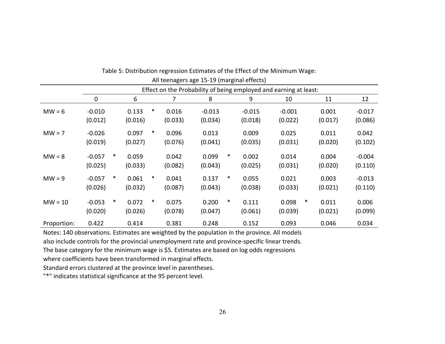|             |          | All teenagers age 15-19 (marginal effects) |         |        |         |          |        |          |                                                                   |        |         |          |
|-------------|----------|--------------------------------------------|---------|--------|---------|----------|--------|----------|-------------------------------------------------------------------|--------|---------|----------|
|             |          |                                            |         |        |         |          |        |          | Effect on the Probability of being employed and earning at least: |        |         |          |
|             | 0        |                                            | 6       |        | 7       | 8        |        | 9        | 10                                                                |        | 11      | 12       |
| $MW = 6$    | $-0.010$ |                                            | 0.133   | $\ast$ | 0.016   | $-0.013$ |        | $-0.015$ | $-0.001$                                                          |        | 0.001   | $-0.017$ |
|             | (0.012)  |                                            | (0.016) |        | (0.033) | (0.034)  |        | (0.018)  | (0.022)                                                           |        | (0.017) | (0.086)  |
| $MW = 7$    | $-0.026$ |                                            | 0.097   | $\ast$ | 0.096   | 0.013    |        | 0.009    | 0.025                                                             |        | 0.011   | 0.042    |
|             | (0.019)  |                                            | (0.027) |        | (0.076) | (0.041)  |        | (0.035)  | (0.031)                                                           |        | (0.020) | (0.102)  |
| $MW = 8$    | $-0.057$ | $\ast$                                     | 0.059   |        | 0.042   | 0.099    | $\ast$ | 0.002    | 0.014                                                             |        | 0.004   | $-0.004$ |
|             | (0.025)  |                                            | (0.033) |        | (0.082) | (0.043)  |        | (0.025)  | (0.031)                                                           |        | (0.020) | (0.110)  |
| $MW = 9$    | $-0.057$ | $\ast$                                     | 0.061   | $\ast$ | 0.041   | 0.137    | $\ast$ | 0.055    | 0.021                                                             |        | 0.003   | $-0.013$ |
|             | (0.026)  |                                            | (0.032) |        | (0.087) | (0.043)  |        | (0.038)  | (0.033)                                                           |        | (0.021) | (0.110)  |
| $MW = 10$   | $-0.053$ | $\ast$                                     | 0.072   | $\ast$ | 0.075   | 0.200    | $\ast$ | 0.111    | 0.098                                                             | $\ast$ | 0.011   | 0.006    |
|             | (0.020)  |                                            | (0.026) |        | (0.078) | (0.047)  |        | (0.061)  | (0.039)                                                           |        | (0.021) | (0.099)  |
| Proportion: | 0.422    |                                            | 0.414   |        | 0.381   | 0.248    |        | 0.152    | 0.093                                                             |        | 0.046   | 0.034    |

| Table 5: Distribution regression Estimates of the Effect of the Minimum Wage: |
|-------------------------------------------------------------------------------|
|-------------------------------------------------------------------------------|

Notes: 140 observations. Estimates are weighted by the population in the province. All models also include controls for the provincial unemployment rate and province‐specific linear trends.

The base category for the minimum wage is \$5. Estimates are based on log odds regressions

where coefficients have been transformed in marginal effects.

Standard errors clustered at the province level in parentheses.

"\*" indicates statistical significance at the 95 percent level.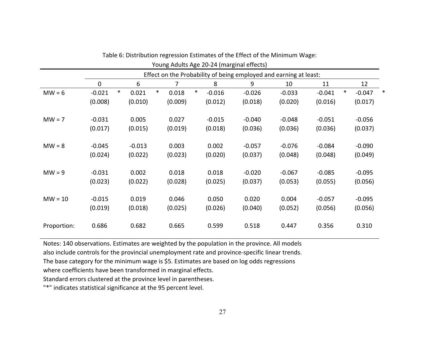|             | Young Adults Age 20-24 (marginal effects) |        |          |        |         |        |                                                                   |  |          |  |          |  |          |        |          |   |
|-------------|-------------------------------------------|--------|----------|--------|---------|--------|-------------------------------------------------------------------|--|----------|--|----------|--|----------|--------|----------|---|
|             |                                           |        |          |        |         |        | Effect on the Probability of being employed and earning at least: |  |          |  |          |  |          |        |          |   |
|             | 0                                         |        | 6        |        | 7       |        | 8                                                                 |  | 9        |  | 10       |  | 11       |        | 12       |   |
| $MW = 6$    | $-0.021$                                  | $\ast$ | 0.021    | $\ast$ | 0.018   | $\ast$ | $-0.016$                                                          |  | $-0.026$ |  | $-0.033$ |  | $-0.041$ | $\ast$ | $-0.047$ | ∗ |
|             | (0.008)                                   |        | (0.010)  |        | (0.009) |        | (0.012)                                                           |  | (0.018)  |  | (0.020)  |  | (0.016)  |        | (0.017)  |   |
| $MW = 7$    | $-0.031$                                  |        | 0.005    |        | 0.027   |        | $-0.015$                                                          |  | $-0.040$ |  | $-0.048$ |  | $-0.051$ |        | $-0.056$ |   |
|             | (0.017)                                   |        | (0.015)  |        | (0.019) |        | (0.018)                                                           |  | (0.036)  |  | (0.036)  |  | (0.036)  |        | (0.037)  |   |
| $MW = 8$    | $-0.045$                                  |        | $-0.013$ |        | 0.003   |        | 0.002                                                             |  | $-0.057$ |  | $-0.076$ |  | $-0.084$ |        | $-0.090$ |   |
|             | (0.024)                                   |        | (0.022)  |        | (0.023) |        | (0.020)                                                           |  | (0.037)  |  | (0.048)  |  | (0.048)  |        | (0.049)  |   |
| $MW = 9$    | $-0.031$                                  |        | 0.002    |        | 0.018   |        | 0.018                                                             |  | $-0.020$ |  | $-0.067$ |  | $-0.085$ |        | $-0.095$ |   |
|             | (0.023)                                   |        | (0.022)  |        | (0.028) |        | (0.025)                                                           |  | (0.037)  |  | (0.053)  |  | (0.055)  |        | (0.056)  |   |
| $MW = 10$   | $-0.015$                                  |        | 0.019    |        | 0.046   |        | 0.050                                                             |  | 0.020    |  | 0.004    |  | $-0.057$ |        | $-0.095$ |   |
|             | (0.019)                                   |        | (0.018)  |        | (0.025) |        | (0.026)                                                           |  | (0.040)  |  | (0.052)  |  | (0.056)  |        | (0.056)  |   |
| Proportion: | 0.686                                     |        | 0.682    |        | 0.665   |        | 0.599                                                             |  | 0.518    |  | 0.447    |  | 0.356    |        | 0.310    |   |

Notes: 140 observations. Estimates are weighted by the population in the province. All models

also include controls for the provincial unemployment rate and province‐specific linear trends.

The base category for the minimum wage is \$5. Estimates are based on log odds regressions

where coefficients have been transformed in marginal effects.

Standard errors clustered at the province level in parentheses.

"\*" indicates statistical significance at the 95 percent level.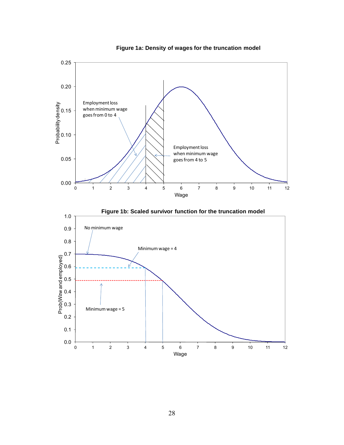



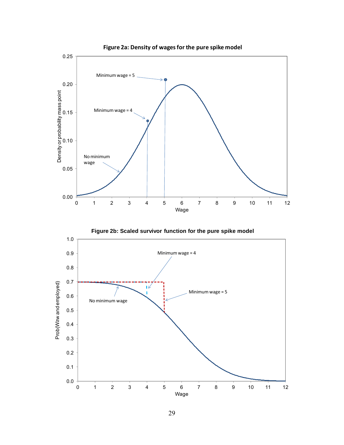



**Figure 2a: Density of wagesfor the pure spike model**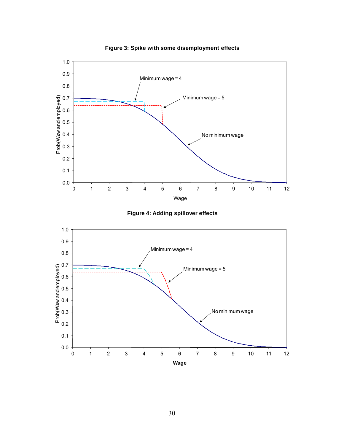

**Figure 3: Spike with some disemployment effects**



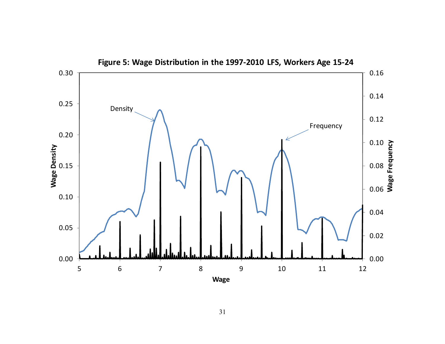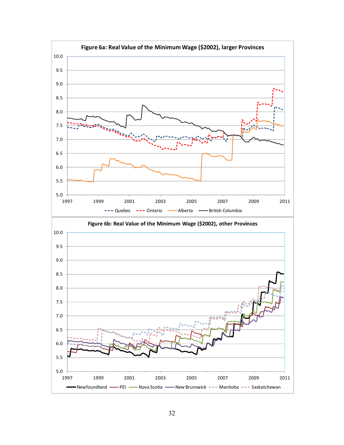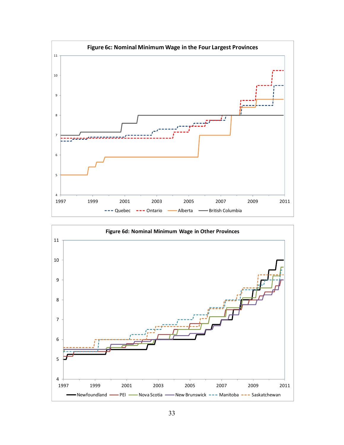

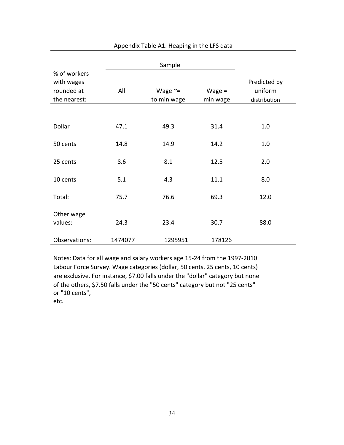|                                                          |         | Sample                          |                      |                                         |
|----------------------------------------------------------|---------|---------------------------------|----------------------|-----------------------------------------|
| % of workers<br>with wages<br>rounded at<br>the nearest: | All     | Wage $\approx$ =<br>to min wage | $Wage =$<br>min wage | Predicted by<br>uniform<br>distribution |
|                                                          |         |                                 |                      |                                         |
| Dollar                                                   | 47.1    | 49.3                            | 31.4                 | 1.0                                     |
| 50 cents                                                 | 14.8    | 14.9                            | 14.2                 | 1.0                                     |
| 25 cents                                                 | 8.6     | 8.1                             | 12.5                 | 2.0                                     |
| 10 cents                                                 | 5.1     | 4.3                             | 11.1                 | 8.0                                     |
| Total:                                                   | 75.7    | 76.6                            | 69.3                 | 12.0                                    |
| Other wage<br>values:                                    | 24.3    | 23.4                            | 30.7                 | 88.0                                    |
| Observations:                                            | 1474077 | 1295951                         | 178126               |                                         |

Appendix Table A1: Heaping in the LFS data

Notes: Data for all wage and salary workers age 15‐24 from the 1997‐2010 Labour Force Survey. Wage categories (dollar, 50 cents, 25 cents, 10 cents) are exclusive. For instance, \$7.00 falls under the "dollar" category but none of the others, \$7.50 falls under the "50 cents" category but not "25 cents" or "10 cents",

etc.